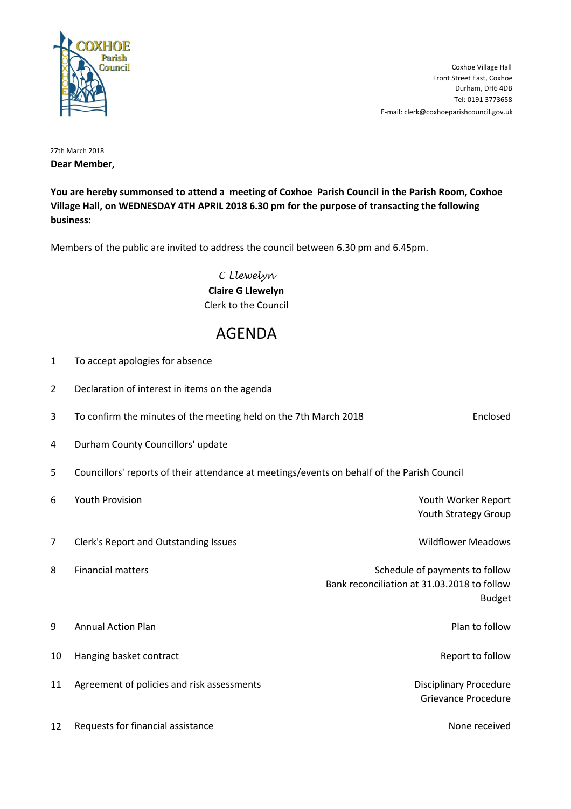

E-mail: clerk@coxhoeparishcouncil.gov.uk Tel: 0191 3773658 Durham, DH6 4DB Front Street East, Coxhoe Coxhoe Village Hall

27th March 2018 **Dear Member,**

**You are hereby summonsed to attend a meeting of Coxhoe Parish Council in the Parish Room, Coxhoe Village Hall, on WEDNESDAY 4TH APRIL 2018 6.30 pm for the purpose of transacting the following business:**

Members of the public are invited to address the council between 6.30 pm and 6.45pm.

C Llewelyn **Claire G Llewelyn** Clerk to the Council

## AGENDA

| 1              | To accept apologies for absence                                                             |                                                                               |                  |
|----------------|---------------------------------------------------------------------------------------------|-------------------------------------------------------------------------------|------------------|
| $\overline{2}$ | Declaration of interest in items on the agenda                                              |                                                                               |                  |
| 3              | To confirm the minutes of the meeting held on the 7th March 2018                            |                                                                               | Enclosed         |
| 4              | Durham County Councillors' update                                                           |                                                                               |                  |
| 5              | Councillors' reports of their attendance at meetings/events on behalf of the Parish Council |                                                                               |                  |
| 6              | Youth Provision                                                                             | Youth Worker Report<br>Youth Strategy Group                                   |                  |
| $\overline{7}$ | Clerk's Report and Outstanding Issues                                                       | <b>Wildflower Meadows</b>                                                     |                  |
| 8              | <b>Financial matters</b>                                                                    | Schedule of payments to follow<br>Bank reconciliation at 31.03.2018 to follow | <b>Budget</b>    |
| 9              | <b>Annual Action Plan</b>                                                                   |                                                                               | Plan to follow   |
| 10             | Hanging basket contract                                                                     |                                                                               | Report to follow |
| 11             | Agreement of policies and risk assessments                                                  | <b>Disciplinary Procedure</b><br><b>Grievance Procedure</b>                   |                  |
| 12             | Requests for financial assistance                                                           |                                                                               | None received    |